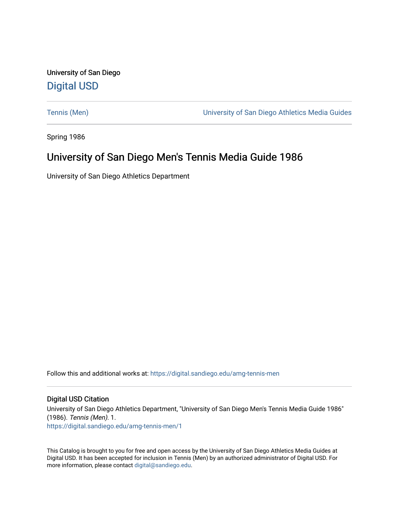University of San Diego [Digital USD](https://digital.sandiego.edu/)

[Tennis \(Men\)](https://digital.sandiego.edu/amg-tennis-men) [University of San Diego Athletics Media Guides](https://digital.sandiego.edu/amg) 

Spring 1986

# University of San Diego Men's Tennis Media Guide 1986

University of San Diego Athletics Department

Follow this and additional works at: [https://digital.sandiego.edu/amg-tennis-men](https://digital.sandiego.edu/amg-tennis-men?utm_source=digital.sandiego.edu%2Famg-tennis-men%2F1&utm_medium=PDF&utm_campaign=PDFCoverPages)

# Digital USD Citation

University of San Diego Athletics Department, "University of San Diego Men's Tennis Media Guide 1986" (1986). Tennis (Men). 1. [https://digital.sandiego.edu/amg-tennis-men/1](https://digital.sandiego.edu/amg-tennis-men/1?utm_source=digital.sandiego.edu%2Famg-tennis-men%2F1&utm_medium=PDF&utm_campaign=PDFCoverPages) 

This Catalog is brought to you for free and open access by the University of San Diego Athletics Media Guides at Digital USD. It has been accepted for inclusion in Tennis (Men) by an authorized administrator of Digital USD. For more information, please contact [digital@sandiego.edu.](mailto:digital@sandiego.edu)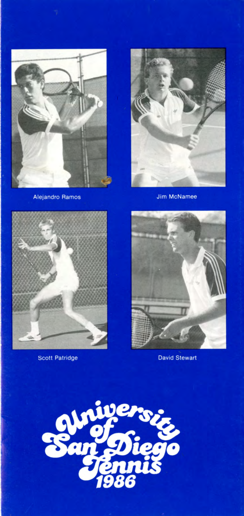

**Alejandro Ramos** 



**Jim McNamee** 



Scott Patridge



**David Stewart** 

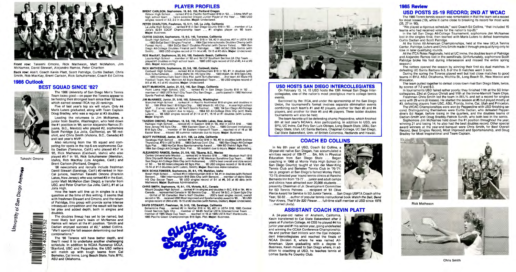

**Front row:** Takeshi Omono, Rick Matheson, Matt McMahon, Jim McNamee, David Stewart, Alejandro Ramos, Peter Charlton

Back row: Ass't. Coach Kevin Platt, Scott Patridge, Curtis Dadian, Chris Smith, Rob MacKay, Brent Carlson, Rick Schultsmeier, Coach Ed Collins

### **1986 Outlook BEST SQUAD SINCE '82?**



University of San Diego Archives

The 1986 University of San Diego Men's Tennis Team looks good-on paper the Toreros appear to be fielding their strongest team since their '82 team which earned several ITCA top 20 rankings.

Five of last year's top six will return. Only #4 Maris Luters graduated, along with Team Captain Doug Bradley, who was a regular at #3 doubles.

Leading the returnees is Jim McNamee, a junior from Seattle, Washington, who held down the #1 position in '85, senior Alejandro Ramos (Tijuana, B.C., Mexico) who played #2, sophomore Scott Patridge (La Jolla, California), an '85 redshirt, and Chris Smith (Victoria, B.C., Canada) #3 and last year's **MVP.** 

Also returning from the '85 squad and competing for spots in the top 6 are sophomores Curtis Dadian (Torrance, Calif.) who played #5-7 in '85, Rick Matheson (Caldwell, Idaho) who also played #5-7 in '85, Rick Schultsmeier (Meridian, Idaho), Rob MacKay (Los Angeles, Calif.) and Brent Carlson (Portland, Oregon).

Wilson High School . . . ranked #13 in Pacific Northwest B18 in '83 . . . 3-time MVP on high school team ... twice selected Oregon Junior Player of the Year ... 1985 USD singles record of 3-2, 2-2 in doubles. **Major:** Undeclared.

**'86** newcomers and recruits include freshman David Stewart (Saratoga, Calif.) #2-ranked in **Nor-**Cal juniors, freshman Takeshi Omono (Franklin Lakes, **New** Jersey), who was ranked #3 in the East, junior Matt McMahon (San Diego), a transfer from USC, and Peter Charlton (La Jolla, Calif.), #1 at La Jolla High.

How the team will line up in singles is a big question at the time of this writing. It seems that with freshmen Stewart and Omono, and the return of Patridge, this group will provide some intense ter play and added depth, both in singles and doubles.

The doubles lineup has yet to be named, but most likely last year's team of McNamee and Ramos will return at the #1 position. "Smith and Dadian enjoyed success at #2," added Collins. "We'll spend the fall season determining our best combinations."

The '86 Toreros will have better depth, and they'll need it to undertake another challenging schedule. In addition to NCAA Runnerup UCLA, "Stanford, USC and Pepperdine, the USD netters will match up with tough teams from Cal Berkeley, Cal Irvine, Long Beach State, Yale, BYU, ASU and Oklahoma.

South High School . . . ranked #13 in SoCal B18 in '84, #2 in doubles, #97 in USTA B18 . . 1983 SoCal Sect'l Singles Finalist . . . 1984 Ojai Interscholatic Doubles Champ (with Forrest Hunt) . . . 1984 SoCal Sect'l Doubles Finalist (with Darren Yates) . . . 1984 San Diego All-College Doubles Finalist (with Patridge) ... 1985 WCAC Obis Semis (with Smith) ... 1985 USO singles record of 11 -14 at #6, 19-15 at #3 dbls. **Major:** Undeclared.

Loyola High School . . . member of '82 and '84 CIF Southern Section 2A Chp Team . . played #1 doubles on high school team ... 1985 USO sgls record of 2-2 at #6, 4-4 at #3 dbls. **Major:** Accounting.

Point Loma High School, USC ... ranked #3 in San Diego County B18 in '82 .. member of 1982 USTA Nat'l City Team Chp San Diego . . . participated in 1982 National Sports Festival. **Major:** Biology.

# **PLAYER PROFILES BRENT CARLSON, Sophomore, 19, 6-0, 155, Portland Oregon**

Ramapo High School . . . ranked #3 in Eastern B18 in '85, #50 in USTA B18 . . . 1985 New Jersey HS Sgls Chp .. . 1984 Eastern Open Jr. Chp . .. 1985 Concord Invitational 818 Sgls Chp . . . member of '84 Eastern Intersect'! Team . .. reached rd of 16 at '85 Easter Bowl .. . missed '85 summer nationals due to injury. **Major:** Business.

#### **PETER CHARLTON, Freshman, 18, 5-11, 145, La Jolla, Callfomla**

La Jolla High School ... ranked #18 in San Diego County 818 in '85 ... member of La Jolla's 82-84 SDCIF Championship team ... #1 singles player on '85 team. **Major:** Business.

#### **CURTIS DADIAN, Sophomore, 19, 6-0, 140, Torrance, Callforrla**

Centro Universitario Mexico . . . ranked #3 in Mexico B18 . . . 1982 Mexican Nat'l B18 Obis Chp (with Rafael Osuna) ... member of '82 Mexican Sunshine Cup Team ... 1983 San Diego All-College Obis Chp (with NcNamee) . . . US D's best overall and dbls record of '83 ... '84 SD Intercollegiate #2 Sgls Fist ... '85 USO singles record of 16-18 at #2 15-14 at #1-2 doubles (with Lulers, Smith). **Major:** Business Administration. '

Mount Douglas High School ... ranked #1 In singles and doubles In B.C. 818 In **'84, #6** in Canada .. . represented Canada in '82 Borotra Cup . .. '83 and **'84** B.C. Jr Open Sgls Chp ... Qtrflst of '85 Canadian Men's Nat'I Doubles ... USD's best singles record, overall record in '85 ... received USO Most Improved and Sportsmanship award In '85 .. . '85 USO singles record of 29-6 at #3, 16-15 at #2 doubles (with Ramos, Dadian). Major: Undeclared.

#### **ROB MacKAY, Sophomore, 20, 6-0, 160, Redondo Beach, Calllomla**

#### **RICK MATHESON, Sophomore, 20, 5-8, 160, Caldwell, Idaho**

Caldwell High School . .. ranked #3 in lntermountain 818 in '83, #1 in doubles (with Rick Schultsmeier), .. . 3-time Idaho St. HS Sgls Chp ... 1983 Wash. St. 818 Sgls Chp. ... 1983 Intermountain Sect'l Dbls Fist. (with Schultsmeier) ... 2nd team All State HS Football Team, Hon. Mention All State Basketball Team . . . '85 USO singles record of 8-9 at #6, 4-3 at #3 doubles. **Major:** Undeclared.

#### **MATT McMAHON, Junior, 21, 5-5, 140, San Diego, Callfomla**

#### **JIM McNAMEE, Junior, 21, 5-10, 165, Edmonds, Washington**

Pierce Award for Service to SD Junior Tennis . . . San Diego USPTA Coach of the Year, '80-82 . . . author of popular tennis instructional book Watch the Ball, Bend Your Knees, That'll Be \$20 Please . . . full-time staff member at USD since 1978 ... married (Judy).

Blanchet High School . .. ranked #1 in Pacific Northwest 818 singles and doubles in '82 . . . 1981 PNW Sect'I 818 Sgls Chp .. . 1982 Wash St. HS Chp .. . 4-year high school MVP . . 2 silver medals at '82 Nat'I Sports Festival . .. 1982, '84 San Diego All-College Sgls Fist ... '83 redshirt due to injury ... 1984 SD All-College Dbis Chp (with Maris Luters) ... '85 USD singles record of 21-14 at #1, 15-10 at #1 doubles (with Luters). **Major:** English.

#### **TAKESHI OMONO, Freshman, 18, 5-8, 150, Franklin Lakes, New Jersay**

#### **SCOTT PATRIDGE, Junior, 20, 5-11, 155, La Jolla, Calllomla**

Saratoga High School . . . ranked **#6** In NorCal 818 In '83, #2 In doubles (with Andrew Thurstone), #73 in USTA B18. . . 1983 DeAnza Conf. Chp . . . 1983 San Diego All-College-Sgls Fist . . . 1983 NorCal Boys Sportsmanship Award . . . 1984 SD District Sgls Fist . . . 1984 San Diego All-College Obis. Fist ... '85 redshlrt due to Injury. **Major:** Accounting.

#### **ALEJANDRO RAMOS, Senior, 21, 5-9, 150, Tijuana, B.C., Mexico**

Sophomore Jim McNamee held down the #1 position throughout the year, winning 21 and losing 14; he also had the best doubles record. Other special award winners at the year-end banquet were Chris Smith, for Best Overall Record, Best Singles Record, Most Improved and Sportsmanship, and Doug Bradley for Most Inspirational and Team Captain.





#### **RICK SCHULTSMEIER, Sophomore, 20, 6-1, 170, Meridian, Idaho**

Borah High School ... ranked #5 in lntermountain 818 In '84, #1 In doubles (with Richard Benson) . . . 1984 Intermountain B18 Dbls Chp (with Benson) . . . member of Idaho State HS Chp Soccer Team ... '85 USO singles record of 5-1 at **#6,** 3-5 at #3 dbls (with Matheson). **Major:** Business Administration.

#### **CHRIS SMITH, Sophomore, 19, 6-1 , 175, Victoria, B.C., Canada**

#### **DAVID STEWART, Freshman, 18, 5-10, 150, Saratoga, Calllomla**

Bellarmine Prep ... ranked #2 in NorCal 818 in '85, #21 in LISTA 818, 1985 Central Coast Section Sgls Chp . . . member of '84-85 NorCal USTA Intersectional Team . . . member of 1985 Maze Cup Team . . . reached rd 16 at 1985 USTA Nat'l Hardcourts . . . 1985 Pacific Coast Championships 818 Sgls. Fist. **Major:** Business.





## **USO HOSTS SAN DIEGO INTERCOLLEGIATES**

On February 13, 14, 15 USD hosts the 13th Annual San Diego lntercollegiates, one of the nation's most prestigious men's college tennis events.

Sactioned by the ITCA, and under the sponsorship of the San Diego Union, the tournament's format involves separate elimination events combining each team's #1 and #2 players, another for their #3 and #4 players, and another for their #5 and #6 players. Three ladder doubles tournaments will also be held.

The team favorite will be defending champ Pepperdine, which finished 6th at last year's NCAA's. Also participating, in addition to USD, are BYU, UC Irvine, Cal Poly San Luis Obispo, Long Beach State, USIU, San Diego State, Utah, UC Santa Barbara, Chapman College, UC San Diego, Cal State Bakersfield, Univ. of British Colombia, Redlands and Hawaii.

# **COACH ED COLLINS**

In his 8th year at USD, Coach Ed Collins, a 39-year-old native San Diegan, has accumulated a win/loss record of 156-77 .. . BA, MA in Physical Education from San Diego State ... Began coaching in 1968 at Monte Vista High School (in San Diego County); taught at Van der Meer-King Tennis Club and Berkeley Tennis Club in '70-'71; ran jr. program at San Diego's famed Morley Field, '72-73; directed year 'round tennis clinics at Rancho Bernardo Inn from '73-77 . . . junior and adult camps and clinics have attracted over 20,000 students ... presently Chairman of Jr. Development Committee for SD Tennis Patrons ... recipient of '81 Olive



# **ASSISTANT COACH KEVIN PLATT**

A 24-year-old native of Anaheim, California, Kevin transferred to Cal State Bakersfield after 2 years at Fullerton College. At CSB he played #4 his junior year and #1 his senior year, going undefeated and winning the CCAA Conference Championship. He and partner Bart Hillock won the Ojai Independent lntercollegiates and reached the finals of NCAA Division II, where he was named All-American. Upon graduating with a degree in Business, Kevin moved to San Diego where, in addition to coaching at USD, he teaches tennis at Lomas Santa Fe Country Club.



# **1985 Review USD POSTS 25-19 RECORD; 2ND AT WCAC**

The 1985 Torero tennis season was remarkable in that the team set a record for most losses (19), while it came close to breaking its record for most wins (25, 27 in '80).

"We played a rigorous schedule," said Coach Ed Collins, "that included 15 teams who had received votes for the nation's top-20."

In the fall San Diego All-College Tournament, sophomore Jim McNamee lost in the singles final, then teamed with Maris Luters to defeat teammates Curtis Dadian and Scott Patridge .

At the Volvo All-American Championships, held at the new UCLA Tennis Center, Patridge, Luters and Chris Smith made it through pre-qualifying only to lose in later qualifying rounds.

At the ITCA Rolex Regionals, held at UC Irvine, the doubles team of Patridge and Alejandro Ramos lost in the semifinals. (Unfortunately, sophomore Scott Patridge broke his foot during intersession and missed the entire spring season.)

The netters opened the season by winning their first six dual matches. In defeating UC Santa Barbara 6-3, 8 of the 9 matches went 3 sets.

During the spring the Toreros played well but lost close matches to good teams in BYU, ASU, Oklahoma, Wichita St., Long Beach St., New Mexico and Princeton.

The team pulled together to defeat cross-town rival San Diego State, twice, by scores of 7-2 and 6-3.

In tournaments USD faired rather poorly: they finished 11th at the SD lntercollegiates, 23rd at Corpus Christi and 11th at the Irvine-Marriott Team Chps. Freshman Chris Smith led the team in W/L% and set a record for singles wins with 29 wins (6 losses). He started the season at #5 but played mostly at #3, defeating players from USC, ASU, Florida, Irvine, Cal, Utah and Princeton.

The WCAC Championships were won by Pepperdine with USD finishing second. Distinguishing themselves were Curtis Dadian, who defeated Pepperdine's Ed Nagel, before losing in the quarters, and the doubles teams of Dadian-Smith and Doug Bradley-Patrick Sundh, who both lost in the semis.

Rick Matheson



Chris Smith